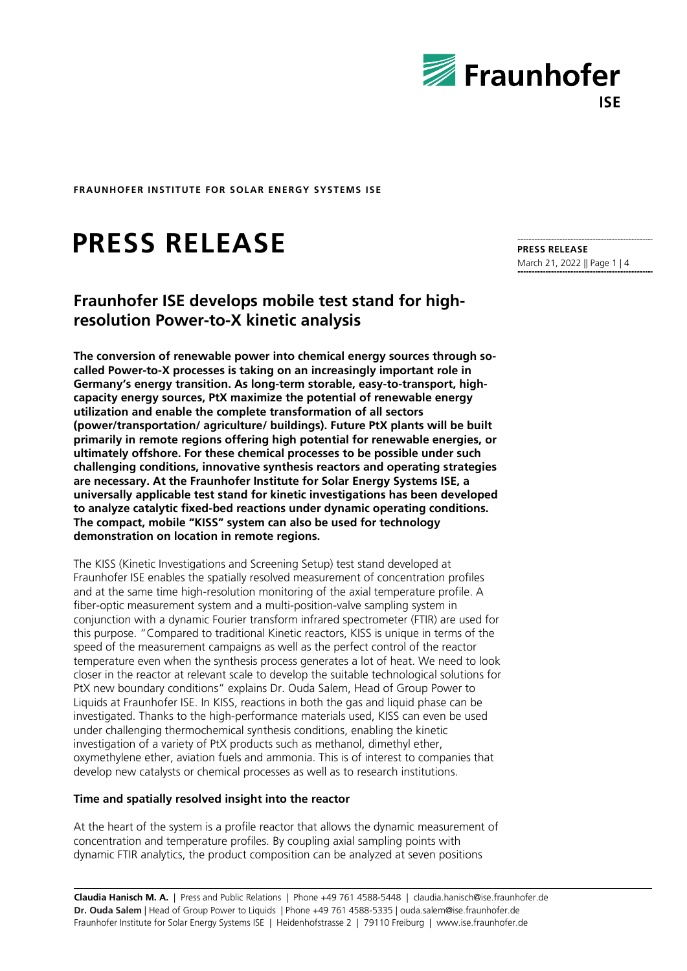

# **PRESS RELEASE**

## **Fraunhofer ISE develops mobile test stand for highresolution Power-to-X kinetic analysis**

**The conversion of renewable power into chemical energy sources through socalled Power-to-X processes is taking on an increasingly important role in Germany's energy transition. As long-term storable, easy-to-transport, highcapacity energy sources, PtX maximize the potential of renewable energy utilization and enable the complete transformation of all sectors (power/transportation/ agriculture/ buildings). Future PtX plants will be built primarily in remote regions offering high potential for renewable energies, or ultimately offshore. For these chemical processes to be possible under such challenging conditions, innovative synthesis reactors and operating strategies are necessary. At the Fraunhofer Institute for Solar Energy Systems ISE, a universally applicable test stand for kinetic investigations has been developed to analyze catalytic fixed-bed reactions under dynamic operating conditions. The compact, mobile "KISS" system can also be used for technology demonstration on location in remote regions.** 

The KISS (Kinetic Investigations and Screening Setup) test stand developed at Fraunhofer ISE enables the spatially resolved measurement of concentration profiles and at the same time high-resolution monitoring of the axial temperature profile. A fiber-optic measurement system and a multi-position-valve sampling system in conjunction with a dynamic Fourier transform infrared spectrometer (FTIR) are used for this purpose. "Compared to traditional Kinetic reactors, KISS is unique in terms of the speed of the measurement campaigns as well as the perfect control of the reactor temperature even when the synthesis process generates a lot of heat. We need to look closer in the reactor at relevant scale to develop the suitable technological solutions for PtX new boundary conditions" explains Dr. Ouda Salem, Head of Group Power to Liquids at Fraunhofer ISE. In KISS, reactions in both the gas and liquid phase can be investigated. Thanks to the high-performance materials used, KISS can even be used under challenging thermochemical synthesis conditions, enabling the kinetic investigation of a variety of PtX products such as methanol, dimethyl ether, oxymethylene ether, aviation fuels and ammonia. This is of interest to companies that develop new catalysts or chemical processes as well as to research institutions.

#### **Time and spatially resolved insight into the reactor**

At the heart of the system is a profile reactor that allows the dynamic measurement of concentration and temperature profiles. By coupling axial sampling points with dynamic FTIR analytics, the product composition can be analyzed at seven positions

**Claudia Hanisch M. A.** | Press and Public Relations | Phone +49 761 4588-5448 | claudia.hanisch@ise.fraunhofer.de **Dr. Ouda Salem** | Head of Group Power to Liquids | Phone +49 761 4588-5335 | ouda.salem@ise.fraunhofer.de Fraunhofer Institute for Solar Energy Systems ISE | Heidenhofstrasse 2 | 79110 Freiburg | www.ise.fraunhofer.de

**PRESS RELEASE** March 21, 2022 || Page 1 | 4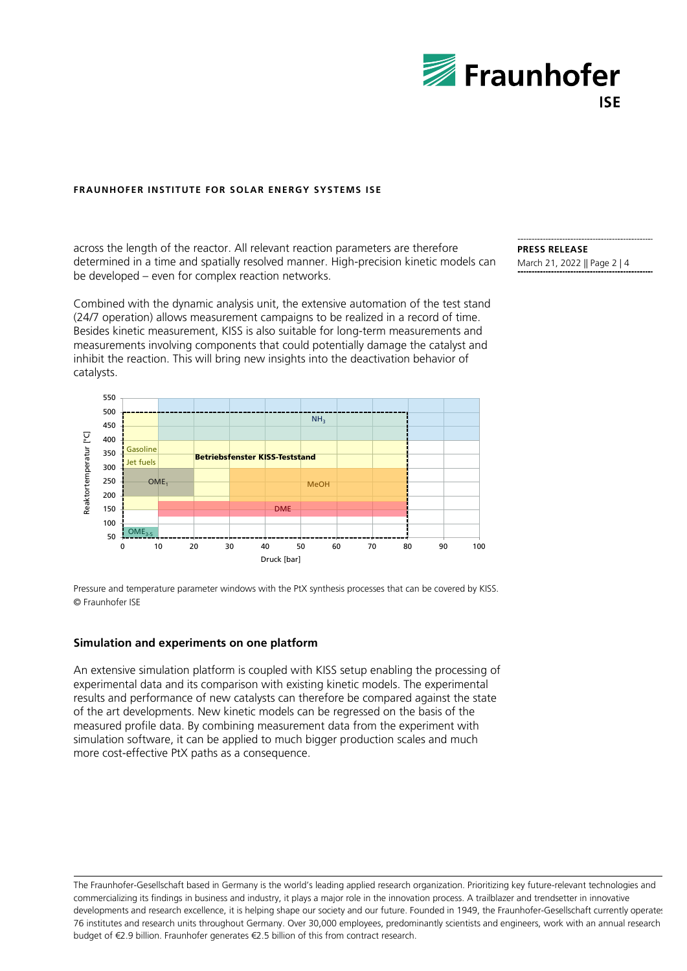

across the length of the reactor. All relevant reaction parameters are therefore determined in a time and spatially resolved manner. High-precision kinetic models can be developed – even for complex reaction networks.

Combined with the dynamic analysis unit, the extensive automation of the test stand (24/7 operation) allows measurement campaigns to be realized in a record of time. Besides kinetic measurement, KISS is also suitable for long-term measurements and measurements involving components that could potentially damage the catalyst and inhibit the reaction. This will bring new insights into the deactivation behavior of catalysts.



Pressure and temperature parameter windows with the PtX synthesis processes that can be covered by KISS. © Fraunhofer ISE

#### **Simulation and experiments on one platform**

An extensive simulation platform is coupled with KISS setup enabling the processing of experimental data and its comparison with existing kinetic models. The experimental results and performance of new catalysts can therefore be compared against the state of the art developments. New kinetic models can be regressed on the basis of the measured profile data. By combining measurement data from the experiment with simulation software, it can be applied to much bigger production scales and much more cost-effective PtX paths as a consequence.

The Fraunhofer-Gesellschaft based in Germany is the world's leading applied research organization. Prioritizing key future-relevant technologies and commercializing its findings in business and industry, it plays a major role in the innovation process. A trailblazer and trendsetter in innovative developments and research excellence, it is helping shape our society and our future. Founded in 1949, the Fraunhofer-Gesellschaft currently operates 76 institutes and research units throughout Germany. Over 30,000 employees, predominantly scientists and engineers, work with an annual research budget of €2.9 billion. Fraunhofer generates €2.5 billion of this from contract research.

#### **PRESS RELEASE** March 21, 2022 || Page 2 | 4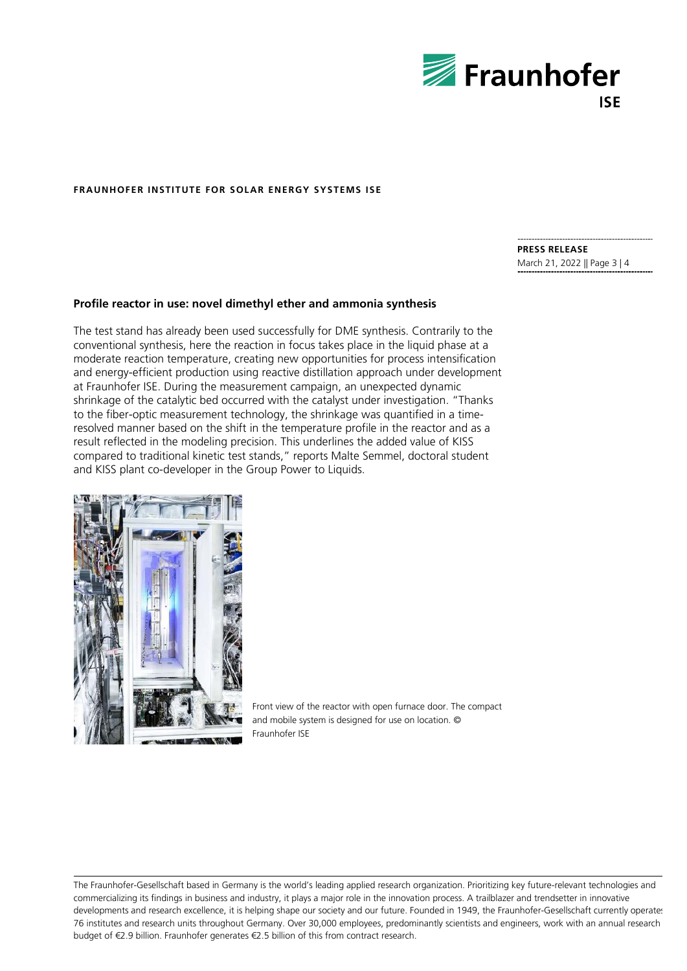

### **PRESS RELEASE**

March 21, 2022 || Page 3 | 4

#### **Profile reactor in use: novel dimethyl ether and ammonia synthesis**

The test stand has already been used successfully for DME synthesis. Contrarily to the conventional synthesis, here the reaction in focus takes place in the liquid phase at a moderate reaction temperature, creating new opportunities for process intensification and energy-efficient production using reactive distillation approach under development at Fraunhofer ISE. During the measurement campaign, an unexpected dynamic shrinkage of the catalytic bed occurred with the catalyst under investigation. "Thanks to the fiber-optic measurement technology, the shrinkage was quantified in a timeresolved manner based on the shift in the temperature profile in the reactor and as a result reflected in the modeling precision. This underlines the added value of KISS compared to traditional kinetic test stands," reports Malte Semmel, doctoral student and KISS plant co-developer in the Group Power to Liquids.



Front view of the reactor with open furnace door. The compact and mobile system is designed for use on location. © Fraunhofer ISE

The Fraunhofer-Gesellschaft based in Germany is the world's leading applied research organization. Prioritizing key future-relevant technologies and commercializing its findings in business and industry, it plays a major role in the innovation process. A trailblazer and trendsetter in innovative developments and research excellence, it is helping shape our society and our future. Founded in 1949, the Fraunhofer-Gesellschaft currently operates 76 institutes and research units throughout Germany. Over 30,000 employees, predominantly scientists and engineers, work with an annual research budget of €2.9 billion. Fraunhofer generates €2.5 billion of this from contract research.